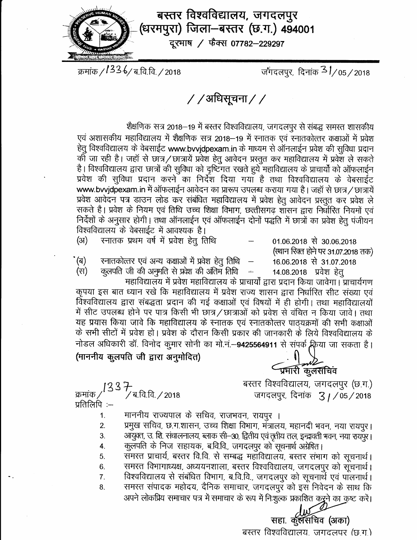

# बस्तर विश्वविद्यालय, जगदलपुर (धरमपुरा) जिला-बस्तर (छ.ग.) 494001

दूरमाष / फैक्स 07782-229297

क्रमांक / 336/ ब.वि.वि. / 2018

जगदलपुर, दिनांक <sup>3</sup>1/05/2018

/ / अधिसूचना / /

शैक्षणिक सत्र २०१८–१९ में बस्तर विश्वविद्यालय, जगदलपुर से संबद्ध समस्त शासकीय एवं अशासकीय महाविद्यालय में शैक्षणिक सत्र 2018-19 में स्नातक एवं स्नातकोत्तर कक्षाओं में प्रवेश हेतु विश्वविद्यालय के वेबसाईट www.bvvjdpexam.in के माध्यम से ऑनलाईन प्रवेश की सुविधा प्रदान को जा रही है। जहाँ से छात्र/छात्रायें प्रवेश हेतु आवेदन प्रस्तुत कर महाविद्यालय में प्रवेश ले सकते है। विश्वविद्यालय द्वारा छात्रों की सुविधा को दृष्टिगत रखते हुये महाविद्यालय के प्राचार्यों को ऑफलाईन प्रवेश की सुविधा प्रदान करने का निर्देश दिया गया है तथा विश्वविद्यालय के वेबसाईट www.bvvjdpexam.in में ऑफलाईन आवेदन का प्रारूप उपलब्ध कराया गया है। जहाँ से छात्र / छात्रायें प्रवेश आवेदन पत्र डाउन लोड कर संबंधित महाविद्यालय में प्रवेश हेतु आवेदन प्रस्तुत कर प्रवेश ले सकते है। प्रवेश के नियम एवं तिथि उच्च शिक्षा विभाग, छत्तीसगढ़ शासन द्वारा निर्धारित नियमों एवं निर्देशों के अनुसार होगी। तथा ऑनलाईन एवं ऑफलाईन दोनों पद्धति में छात्रों का प्रवेश हेतू पंजीयन विश्वविद्यालय के वेबसाईट में आवश्यक है।

01.06.2018 से 30.06.2018 (खान रिक्त होने पर 31.07.2018 तक)

 $(3)$ स्नातक प्रथम वर्ष में प्रवेश हेतु तिथि

16.06.2018 से 31.07.2018

स्नातकोत्तर एवं अन्य कक्षाओं में प्रवेश हेतु तिथि -`(ब) (स)

कूलपति जी की अनुमति से प्रवेश की अंतिम तिथि  $\frac{1}{2}$ 14.08.2018 प्रवेश हेत्

महाविद्यालय में प्रवेश महाविद्यालय के प्राचार्यों द्वारा प्रदान किया जावेगा। प्राचार्यगण कृपया इस बात ध्यान रखे कि महाविद्यालय में प्रवेश राज्य शासन द्वारा निर्धारित सीट संख्या एवं विश्वविद्यालय द्वारा संबद्धता प्रदान की गई कक्षाओं एवं विषयों में ही होगी। तथा महाविद्यालयों में सीट उपलब्ध होने पर पात्र किसी भी छात्र/छात्राओं को प्रवेश से वंचित न किया जावे। तथा यह प्रयास किया जावे कि महाविद्यालय के स्नातक एवं स्नातकोत्तर पाठ्यक्रमों की सभी कक्षाओं के सभी सीटों में प्रवेश हो। प्रवेश के दौरान किसी प्रकार की जानकारी के लिये विश्वविद्यालय के नोडल अधिकारी डॉ. विनोद कुमार सोनी का मो.नं.-9425564911 से संपर्क किया जा सकता है।

(माननीय कूलपति जी द्वारा अनुमोदित)

प्रमारी कुलसंचिव

बस्तर विश्वविद्यालय, जगदलपुर (छ.ग.) जगदलपुर, दिनांक 31/05/2018

 $1337$ ब.वि.वि. / 2018 क्रमांक प्रतिलिपि :—

> माननीय राज्यपाल के सचिव, राजभवन, रायपुर । 1.

प्रमुख सचिव, छ.ग.शासन, उच्च शिक्षा विभाग, मंत्रालय, महानदी भवन, नया रायपुर। 2.

आयुक्त, उ. शि. संचालनालय, ब्लाक सी-30, द्वितीय एवं तृतीय तल, इन्द्रावती भवन, नया रायपुर। 3.

कुलपति के निज सहायक, बवि.वि., जगदलपुर को सूचनार्थ अग्रेषित। 4.

समस्त प्राचार्य, बस्तर वि.वि. से सम्बद्ध महाविद्यालय, बस्तर संभाग को सूचनार्थ। 5.

समस्त विभागाध्यक्ष, अध्ययनशाला, बस्तर विश्वविद्यालय, जगदलपुर को सूचनार्थ। 6.

विश्वविद्यालय से संबंधित विभाग, ब.वि.वि., जगदलपुर को सूचनार्थ एवं पालनार्थ। 7.

समस्त संपादक महोदय, दैनिक समाचार, जगदलपुर को इस निवेदन के साथ कि 8. अपने लोकप्रिय समाचार पत्र में समाचार के रूप में निःशुल्क प्रकाशित करने का कुष्ट करें।

सहा. कुॅ्लॅसचिव (अका)

बस्तर विश्वविद्यालय. जगदलपर (छ.ग.)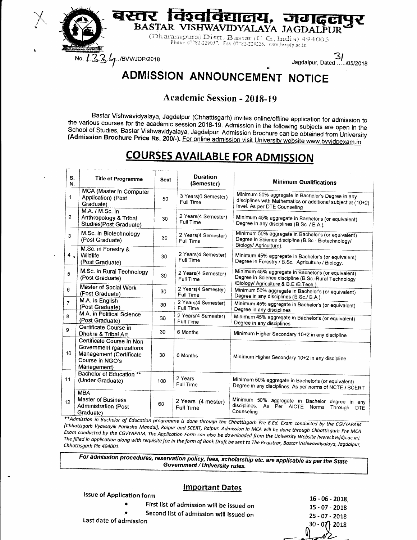

### **ADMISSION ANNOUNCEMENT NOTICE**

**Academic Session - 2018-19** 

Bastar Vishwavidyalaya, Jagdalpur (Chhattisgarh) invites online/offline application for admission to the various courses for the academic session 2018-19. Admission in the following subjects are open in the School of Studies, Bastar Vishwavidyalaya, Jagdalpur. Admission Brochure can be obtained from University (Admission Brochure Price Rs. 200/-). For online admission visit University website www.bvvjdpexam.in

## **COURSES AVAILABLE FOR ADMISSION**

| S.<br>N.       | <b>Title of Programme</b>                                                                                         | <b>Seat</b> | <b>Duration</b><br>(Semester)          | <b>Minimum Qualifications</b>                                                                                                                         |
|----------------|-------------------------------------------------------------------------------------------------------------------|-------------|----------------------------------------|-------------------------------------------------------------------------------------------------------------------------------------------------------|
| 1              | MCA (Master in Computer<br>Application) (Post<br>Graduate)                                                        | 50          | 3 Years(6 Semester)<br>Full Time       | Minimum 50% aggregate in Bachelor's Degree in any<br>disciplines with Mathematics or additional subject at (10+2)<br>level. As per DTE Counseling     |
| $\overline{2}$ | M.A. / M.Sc. in<br>Anthropology & Tribal<br>Studies(Post Graduate)                                                | 30          | 2 Years(4 Semester)<br>Full Time       | Minimum 45% aggregate in Bachelor's (or equivalent)<br>Degree in any disciplines (B.Sc. / B.A.).                                                      |
| 3              | M.Sc. in Biotechnology<br>(Post Graduate)                                                                         | 30          | 2 Years(4 Semester)<br>Full Time       | Minimum 50% aggregate in Bachelor's (or equivalent)<br>Degree in Science discipline (B.Sc.- Biotechnology/<br>Biology/ Agriculture).                  |
| $4$ .          | M.Sc. in Forestry &<br>Wildlife<br>(Post Graduate)                                                                | 30          | 2 Years(4 Semester)<br>Full Time       | Minimum 45% aggregate in Bachelor's (or equivalent)<br>Degree in Forestry / B.Sc. Agriculture / Biology.                                              |
| 5              | M.Sc. in Rural Technology<br>(Post Graduate)                                                                      | 30          | 2 Years(4 Semester)<br>Full Time       | Minimum 45% aggregate in Bachelor's (or equivalent)<br>Degree in Science discipline (B.Sc.-Rural Technology<br>/Biology/ Agriculture & B.E./B.Tech.). |
| 6              | Master of Social Work<br>(Post Graduate)                                                                          | 30          | 2 Years(4 Semester)<br>Full Time       | Minimum 50% aggregate in Bachelor's (or equivalent)<br>Degree in any disciplines (B.Sc./ B.A.).                                                       |
| $\overline{7}$ | M.A. in English<br>(Post Graduate)                                                                                | 30          | 2 Years(4 Semester)<br>Full Time       | Minimum 45% aggregate in Bachelor's (or equivalent)<br>Degree in any disciplines                                                                      |
| 8              | M.A. in Political Science<br>(Post Graduate)                                                                      | 30          | 2 Years(4 Semester)<br>Full Time       | Minimum 45% aggregate in Bachelor's (or equivalent)<br>Degree in any disciplines                                                                      |
| 9              | Certificate Course in<br>Dhokra & Tribal Art                                                                      | 30          | 6 Months                               | Minimum Higher Secondary 10+2 in any discipline                                                                                                       |
| 10             | Certificate Course in Non<br>Government rganizations<br>Management (Certificate<br>Course in NGO's<br>Management) | 30          | 6 Months                               | Minimum Higher Secondary 10+2 in any discipline                                                                                                       |
| 11             | Bachelor of Education **<br>(Under Graduate)                                                                      | 100         | 2 Years<br>Full Time                   | Minimum 50% aggregate in Bachelor's (or equivalent)<br>Degree in any disciplines. As per norms of NCTE / SCERT                                        |
| 12             | <b>MBA</b><br><b>Master of Business</b><br><b>Administration (Post</b><br>Graduate)                               | 60          | 2 Years (4 mester)<br><b>Full Time</b> | Minimum 50% aggregate in Bachelor degree in any<br>disciplines.<br>As Per AICTE<br>Norms<br>Through<br><b>DTE</b><br>Counseling                       |

\*\*Admission in Bachelor of Education programme is done through the Chhattisgarh Pre B.Ed. Exam conducted by the CGVYAPAM (Chhatisgarh Vyavsayik Pariksha Mandal), Raipur and SCERT, Raipur. Admission in MCA will be done through Chhattisgarh Pre MCA Exam conducted by the CGVYAPAM. The Application Form can also be downloaded from the University Website (www.bvvjdp.ac.in). The filled in application along with requisite fee in the form of Bank Draft be sent to The Registrar, Bastar Vishwavidyalaya, Jagdalpur, Chhattisgarh Pin 494001.

For admission procedures, reservation policy, fees, scholarship etc. are applicable as per the State Government / University rules.

### **Important Dates**

**Issue of Application form** 

- First list of admission will be issued on
- Second list of admission will issued on  $\bullet$ Last date of admission

 $16 - 06 - 2018$  $15 - 07 - 2018$  $25 - 07 - 2018$  $30 - 07$  2018 Ø,  $\boldsymbol{Z}$